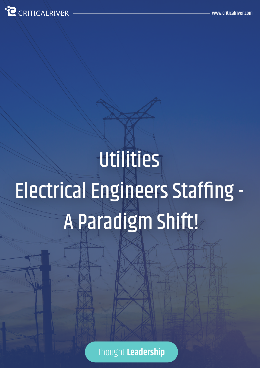

# **Utilities** Electrical Engineers Staffing - A Paradigm Shift!

Thought **Leadership**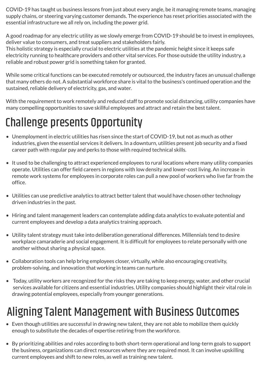COVID-19 has taught us business lessons from just about every angle, be it managing remote teams, managing supply chains, or steering varying customer demands. The experience has reset priorities associated with the essential infrastructure we all rely on, including the power grid.

A good roadmap for any electric utility as we slowly emerge from COVID-19 should be to invest in employees, deliver value to consumers, and treat suppliers and stakeholders fairly.

This holistic strategy is especially crucial to electric utilities at the pandemic height since it keeps safe electricity running to healthcare providers and other vital services. For those outside the utility industry, a reliable and robust power grid is something taken for granted.

While some critical functions can be executed remotely or outsourced, the industry faces an unusual challenge that many others do not. A substantial workforce share is vital to the business's continued operation and the sustained, reliable delivery of electricity, gas, and water.

With the requirement to work remotely and reduced staff to promote social distancing, utility companies have many compelling opportunities to save skillful employees and attract and retain the best talent.

## Challenge presents Opportunity

- Unemployment in electric utilities has risen since the start of COVID-19, but not as much as other industries, given the essential services it delivers. In a downturn, utilities present job security and a fixed career path with regular pay and perks to those with required technical skills.
- It used to be challenging to attract experienced employees to rural locations where many utility companies operate. Utilities can offer field careers in regions with low density and lower-cost living. An increase in remote work systems for employees in corporate roles can pull a new pool of workers who live far from the office.
- Utilities can use predictive analytics to attract better talent that would have chosen other technology driven industries in the past.
- Hiring and talent management leaders can contemplate adding data analytics to evaluate potential and current employees and develop a data analytics training approach.
- Utility talent strategy must take into deliberation generational differences. Millennials tend to desire workplace camaraderie and social engagement. It is difficult for employees to relate personally with one another without sharing a physical space.
- Collaboration tools can help bring employees closer, virtually, while also encouraging creativity, problem-solving, and innovation that working in teams can nurture.
- Today, utility workers are recognized for the risks they are taking to keep energy, water, and other crucial services available for citizens and essential industries. Utility companies should highlight their vital role in drawing potential employees, especially from younger generations.

## Aligning Talent Management with Business Outcomes

- Even though utilities are successful in drawing new talent, they are not able to mobilize them quickly enough to substitute the decades of expertise retiring from the workforce.
- By prioritizing abilities and roles according to both short-term operational and long-term goals to support the business, organizations can direct resources where they are required most. It can involve upskilling current employees and shift to new roles, as well as training new talent.